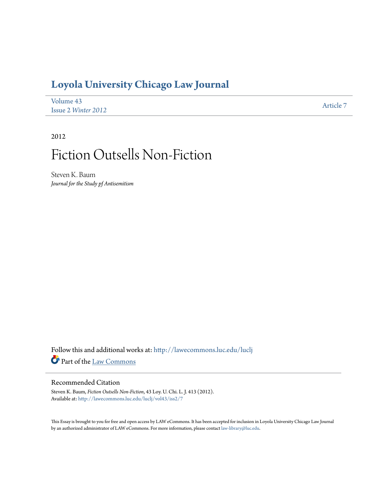# **[Loyola University Chicago Law Journal](http://lawecommons.luc.edu/luclj?utm_source=lawecommons.luc.edu%2Fluclj%2Fvol43%2Fiss2%2F7&utm_medium=PDF&utm_campaign=PDFCoverPages)**

| Volume 43                  | Article 7 |
|----------------------------|-----------|
| Issue 2 <i>Winter</i> 2012 |           |

2012

# Fiction Outsells Non-Fiction

Steven K. Baum *Journal for the Study pf Antisemitism*

Follow this and additional works at: [http://lawecommons.luc.edu/luclj](http://lawecommons.luc.edu/luclj?utm_source=lawecommons.luc.edu%2Fluclj%2Fvol43%2Fiss2%2F7&utm_medium=PDF&utm_campaign=PDFCoverPages) Part of the [Law Commons](http://network.bepress.com/hgg/discipline/578?utm_source=lawecommons.luc.edu%2Fluclj%2Fvol43%2Fiss2%2F7&utm_medium=PDF&utm_campaign=PDFCoverPages)

## Recommended Citation

Steven K. Baum, *Fiction Outsells Non-Fiction*, 43 Loy. U. Chi. L. J. 413 (2012). Available at: [http://lawecommons.luc.edu/luclj/vol43/iss2/7](http://lawecommons.luc.edu/luclj/vol43/iss2/7?utm_source=lawecommons.luc.edu%2Fluclj%2Fvol43%2Fiss2%2F7&utm_medium=PDF&utm_campaign=PDFCoverPages)

This Essay is brought to you for free and open access by LAW eCommons. It has been accepted for inclusion in Loyola University Chicago Law Journal by an authorized administrator of LAW eCommons. For more information, please contact [law-library@luc.edu](mailto:law-library@luc.edu).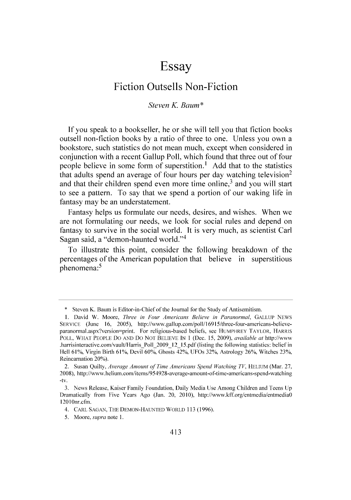# **Essay**

## Fiction Outsells Non-Fiction

## *Steven K Baum* \*

**If** you speak to a bookseller, he or she will tell you that fiction books outsell non-fiction books **by** a ratio of three to one. Unless you own a bookstore, such statistics do not mean much, except when considered in conjunction with a recent Gallup Poll, which found that three out of four people believe in some form of superstition.' **Add** that to the statistics that adults spend an average of four hours per day watching television<sup>2</sup> and that their children spend even more time online, $3$  and you will start to see a pattern. To say that we spend a portion of our waking life in fantasy may be an understatement.

Fantasy helps us formulate our needs, desires, and wishes. When we are not formulating our needs, we look for social rules and depend on fantasy to survive in the social world. It is very much, as scientist Carl Sagan said, a "demon-haunted world."4

To illustrate this point, consider the following breakdown of the percentages of the American population that believe in superstitious phenomena:<sup>5</sup>

**<sup>\*</sup>** Steven K. Baum is Editor-in-Chief of the Journal for the Study of Antisemitism.

**<sup>1.</sup>** David W. Moore, *Three in Four Americans Believe in Paranormal,* **GALLUP NEWS** SERVICE (June 16, 2005), http://www.gallup.com/poll/16915/three-four-americans-believeparanormal.aspx?version=print. For religious-based beliefs, see HUMPHREY TAYLOR, HARRIS POLL. WHAT PEOPLE Do **AND** Do **NOT** BELIEVE **IN** 1 (Dec. *15, 2009). available at* http://www .harrisinteractive.com/vault/Harris Poll\_2009\_12\_15.pdf (listing the following statistics: belief in Hell **610%,** Virgin Birth **610%,** Devil **60%,** Ghosts **42%,** UFOs **32%,** Astrology **26%,** Witches **23%,** Reincarnation **20%).**

<sup>2.</sup> Susan Quilty, *Average Amount of Time Americans Spend Watching TV,* HELIUM (Mar. **27. 2008),** http://www.helium.com/items/954928-average-amount-of-time-americans-spend-watching -tv.

**<sup>3.</sup>** News Release, Kaiser Family Foundation, Daily Media Use Among Children and Teens **Up** Dramatically from Five Years Ago (Jan. 20, 2010), http://www.kff.org/entmedia/entmedia0 12010nr.cfm.

<sup>4.</sup> CARL SAGAN, THE **DEMON-HAUNTED** WORLD **113 (1996).**

**<sup>5.</sup>** *Moore. supra note* **1.**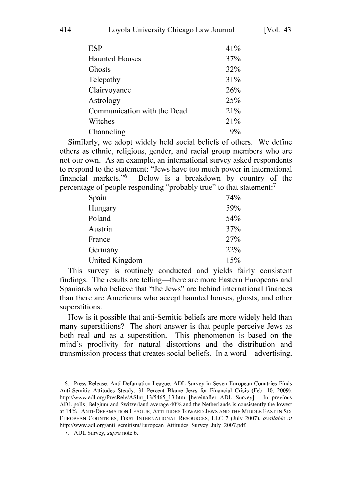| 41% |
|-----|
| 37% |
| 32% |
| 31% |
| 26% |
| 25% |
| 21% |
| 21% |
| 9%  |
|     |

Similarly, we adopt widely held social beliefs of others. We define others as ethnic, religious, gender, and racial group members who are not our own. As an example, an international survey asked respondents to respond to the statement: "Jews have too much power in international financial markets."<sup>6</sup> Below is a breakdown by country of the percentage of people responding "probably true" to that statement:<sup>7</sup>

| Spain          | 74% |
|----------------|-----|
| Hungary        | 59% |
| Poland         | 54% |
| Austria        | 37% |
| France         | 27% |
| Germany        | 22% |
| United Kingdom | 15% |

This survey is routinely conducted and yields fairly consistent findings. The results are telling—there are more Eastern Europeans and Spaniards who believe that "the Jews" are behind international finances than there are Americans who accept haunted houses, ghosts, and other superstitions.

How is **it** possible that anti-Semitic beliefs are more widely held than many superstitions? The short answer is that people perceive Jews as both real and as a superstition. This phenomenon is based on the mind's proclivity for natural distortions and the distribution and transmission process that creates social beliefs. In a word—advertising.

**<sup>6.</sup>** Press Release, Anti-Defamation League, **ADL** Survey in Seven European Countries Finds Anti-Semitic Attitudes Steady; **31** Percent Blame Jews for Financial Crisis (Feb. **10, 2009),** http://www.adl.org/PresRele/ASInt *13/5465* 13.htm [hereinafter **ADL** Survey]. In previous **ADL** polls, Belgium and Switzerland average 40% and the Netherlands is consistently the lowest at 14%. **ANTI-DEFAMATION LEAGUE,** ATTITUDES TOWARD **JEWS AND** THE MIDDLE **EAST IN** SIX **EUROPEAN** COUNTRIES, FIRST **INTERNATIONAL** RESOURCES, **LLC 7** (July **2007),** *available at* http://www.adl.org/anti\_semitism/European Attitudes Survey July 2007.pdf.

**<sup>7.</sup> ADL** Survey, *supra* note **6.**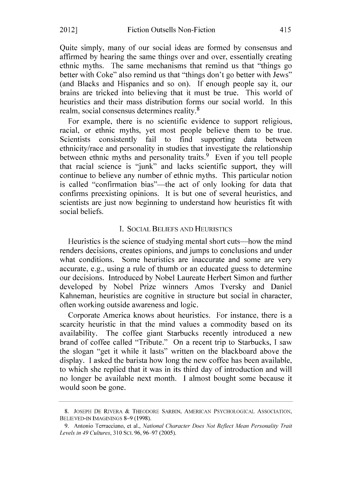Quite simply, many of our social ideas are formed **by** consensus and affirmed **by** hearing the same things over and over, essentially creating ethnic myths. The same mechanisms that remind us that "things go better with Coke" also remind us that "things don't go better with Jews" (and Blacks and Hispanics and so on). **If** enough people say it, our brains are tricked into believing that it must be true. This world of heuristics and their mass distribution forms our social world. In this realm, social consensus determines reality.<sup>8</sup>

For example, there is no scientific evidence to support religious, racial, or ethnic myths, yet most people believe them to be true. Scientists consistently fail to find supporting data between ethnicity/race and personality in studies that investigate the relationship between ethnic myths and personality traits.<sup>9</sup> Even if you tell people that racial science is "junk" and lacks scientific support, they will continue to believe any number of ethnic myths. This particular notion is called "confirmation bias"—the act of only looking for data that confirms preexisting opinions. It is but one of several heuristics, and scientists are just now beginning to understand how heuristics fit with social beliefs.

#### **1. SOCIAL BELIEFS AND HEURISTICS**

Heuristics is the science of studying mental short cuts—how the mind renders decisions, creates opinions, and jumps to conclusions and under what conditions. Some heuristics are inaccurate and some are very accurate, e.g., using a rule of thumb or an educated guess to determine our decisions. Introduced **by** Nobel Laureate Herbert Simon and further developed **by** Nobel Prize winners Amos Tversky and Daniel Kahneman, heuristics are cognitive in structure but social in character, often working outside awareness and logic.

Corporate America knows about heuristics. For instance, there is a scarcity heuristic in that the mind values a commodity based on its availability. The coffee giant Starbucks recently introduced a new brand of coffee called "Tribute." On a recent trip to Starbucks, **I** saw the slogan "get it while it lasts" written on the blackboard above the display. **I** asked the barista how long the new coffee has been available, to which she replied that it was in its third day of introduction and will no longer be available next month. **I** almost bought some because it would soon be gone.

**<sup>8.</sup> JOSEPH DE** RIVERA **&** THEODORE SARBIN. AMERICAN PSYCHOLOGICAL ASSOCIATION, **BELIEVED-IN IMAGININGS 8-9 (1998).**

**<sup>9.</sup>** Antonio Terracciano, et al., *National Character Does Not Reflect Mean Personality Trait Levels in* 49 Cultures, **310** SC. **96, 96-97 (2005).**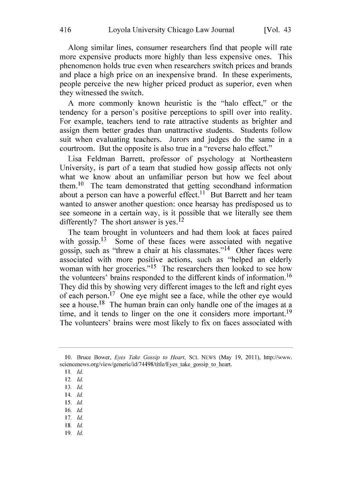Along similar lines, consumer researchers find that people will rate more expensive products more **highly** than less expensive ones. This phenomenon holds true even when researchers switch prices and brands and place a high price on an inexpensive brand. In these experiments, people perceive the new higher priced product as superior, even when they witnessed the switch.

**A** more commonly known heuristic is the "halo effect," or the tendency for a person's positive perceptions to spill over into reality. For example, teachers tend to rate attractive students as brighter and assign them better grades than unattractive students. Students follow suit when evaluating teachers. Jurors and judges do the same in a courtroom. But the opposite is also true in a "reverse halo effect."

Lisa Feldman Barrett, professor of psychology at Northeastern University, is part of a team that studied how gossip affects not only what we know about an unfamiliar person but how we feel about them.<sup>10</sup> The team demonstrated that getting secondhand information about a person can have a powerful effect.<sup>11</sup> But Barrett and her team wanted to answer another question: once hearsay has predisposed us to see someone in a certain way, is it possible that we literally see them differently? The short answer is yes.<sup>12</sup>

The team brought in volunteers and had them look at faces paired with gossip.<sup>13</sup> Some of these faces were associated with negative gossip, such as "threw a chair at his classmates."<sup>14</sup> Other faces were associated with more positive actions, such as "helped an elderly woman with her groceries."<sup>15</sup> The researchers then looked to see how the volunteers' brains responded to the different kinds of information.<sup>16</sup> They did this **by** showing very different images to the left and right eyes of each person.17 One eye might see a face, while the other eye would see a house.<sup>18</sup> The human brain can only handle one of the images at a time, and it tends to linger on the one it considers more important.<sup>19</sup> The volunteers' brains were most likely to fix on faces associated with

- 14. *Id.*
- *15. Id.*
- **16.** *Id.*
- **17.** *Id.*
- **I8.** *Id.* **19.** *Id*

**<sup>10.</sup>** Bruce Bower, *Eyes Take Gossip to Heart,* **SC. NEWS** (May **19, 2011).** http://www. sciencenews.org/view/generic/id/74498/title/Eyes take gossip to heart.

**<sup>11.</sup>** *Id.*

<sup>12.</sup> *Id.*

**<sup>13.</sup>** *Id.*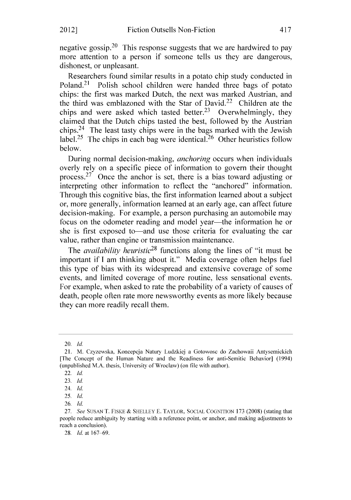negative gossip.<sup>20</sup> This response suggests that we are hardwired to pay more attention to a person if someone tells us they are dangerous, dishonest, or unpleasant.

Researchers found similar results in a potato chip study conducted in Poland.<sup>21</sup> Polish school children were handed three bags of potato chips: the first was marked Dutch, the next was marked Austrian, and the third was emblazoned with the Star of David.22 Children ate the chips and were asked which tasted better.<sup>23</sup> Overwhelmingly, they claimed that the Dutch chips tasted the best, followed **by** the Austrian chips.24 The least tasty chips were in the bags marked with the Jewish label.<sup>25</sup> The chips in each bag were identical.<sup>26</sup> Other heuristics follow below.

During normal decision-making, *anchoring* occurs when individuals overly rely on a specific piece of information to govern their thought process.<sup>27</sup> Once the anchor is set, there is a bias toward adjusting or interpreting other information to reflect the "anchored" information. Through this cognitive bias, the first information learned about a subject or, more generally, information learned at an early age, can affect future decision-making. For example, a person purchasing an automobile may focus on the odometer reading and model year—the information he or she is first exposed to—and use those criteria for evaluating the car value, rather than engine or transmission maintenance.

*The availability heuristic28* functions along the lines of "it must be important if **I** am thinking about it." Media coverage often helps fuel this type of bias with its widespread and extensive coverage of some events, and limited coverage of more routine, less sensational events. For example, when asked to rate the probability of a variety of causes of death, people often rate more newsworthy events as more likely because they can more readily recall them.

<sup>20.</sup> *Id.*

<sup>21.</sup> M. Czyzewska. Koncepcja Natury Ludzkiej a Gotowosc do Zachowaii Antysemickich [The Concept of the Human Nature and the Readiness for anti-Semitic Behavior] (1994) (unpublished M.A. thesis, University of Wroclaw) (on file with author).

<sup>22.</sup> *Id.*

**<sup>23.</sup>** *Id.*

<sup>24.</sup> *Id.* **25.** *Id.*

**<sup>26.</sup>** *Id.*

**<sup>27.</sup>** *See* SusAN T. FISKE *&* **SHELLEY E.** TAYLOR. SOCIAL COGNITION **173** (2008) (stating that people reduce ambiguity **by** starting with a reference point, or anchor, and making adjustments to reach a conclusion).

**<sup>28.</sup>** *Id.* at **167-69.**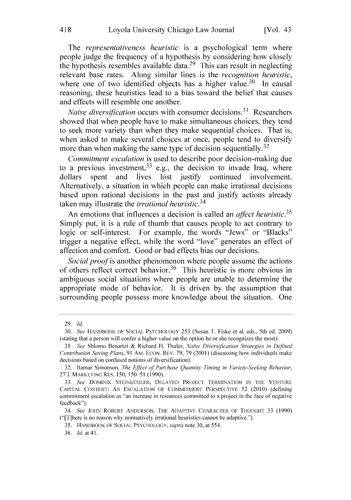*The representativeness heuristic* is a psychological term where people judge the frequency of a hypothesis **by** considering how closely the hypothesis resembles available data.29 This can result in neglecting relevant base rates. Along similar lines is the *recognition heuristic,* where one of two identified objects has a higher value.<sup>30</sup> In causal reasoning, these heuristics lead to a bias toward the belief that causes and effects will resemble one another.

*Naive diversification* occurs with consumer decisions. 31 Researchers showed that when people have to make simultaneous choices, they tend to seek more variety than when they make sequential choices. That is, when asked to make several choices at once, people tend to diversify more than when making the same type of decision sequentially.<sup>32</sup>

*Commitment escalation* is used to describe poor decision-making due to a previous investment,  $33$  e.g., the decision to invade Iraq, where dollars spent and lives lost justify continued involvement. Alternatively, a situation in which people can make irrational decisions based upon rational decisions in the past and justify actions already taken may illustrate the *irrational heuristic.34*

An emotions that influences a decision is called an *affect heuristic.35* Simply put, it is a rule of thumb that causes people to act contrary to logic or self-interest. For example, the words "Jews" or "Blacks" trigger a negative effect, while the word "love" generates an effect of affection and comfort. Good or bad effects bias our decisions.

*Social proof is* another phenomenon where people assume the actions of others reflect correct behavior.<sup>36</sup> This heuristic is more obvious in ambiguous social situations where people are unable to determine the appropriate mode of behavior. It is driven **by** the assumption that surrounding people possess more knowledge about the situation. One

**<sup>29.</sup>** *Id.*

*<sup>30.</sup> See* HANDBOOK OF **SOCIAL** PSYCHOLOGY *253* (Susan T. Fiske et al. eds.. 5th ed. **2009)** (stating that a person will confer a higher value on the option he or she recognizes the most).

*<sup>31.</sup> See* Shlomo Benartzi **&** Richard H. Thaler, *Naive Diversification Strategies in Defined* Contribution Saving Plans, **91** Am. **ECON.** REv. **79, 79** (2001) (discussing how individuals make decisions based on confused notions of diversification).

**<sup>32.</sup>** Itamar Simonson, *The Effect of Purchase Quantity Timing in Variety-Seeking Behavior,* **27 J.** MARKETING RES. *150, 150-51* **(1990).**

*<sup>33.</sup> See* DOMINIK STEINKIUHLER, DELAYED **PROJECT** TERMINATION **IN** THE **VENTURE** CAPITAL **CONTEXT: AN** ESCALATION OF **COMMITMENT** PERSPECTIVE *52* (2010) (defining commitment escalation as "an increase in resources committed to a project in the face of negative feedback").

*<sup>34.</sup> See* JOHN ROBERT ANDERSON. THE **ADAPTIVE** CHARACTER OF **THOUGHT 33 (1990)** ("[T]here is no reason why normatively irrational heuristics cannot be adaptive.").

*<sup>35.</sup>* HANDBOOK OF **SOCIAL** PSYCHOLOGY, *supra* note **30,** at *554.*

**<sup>36.</sup>** *Id. at* **41.**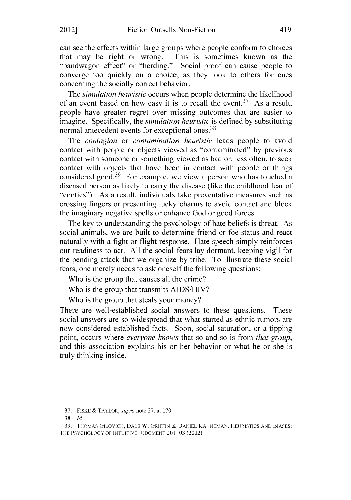can see the effects within large groups where people conform to choices that may be right or wrong. This is sometimes known as the "bandwagon effect" or "herding." Social proof can cause people to converge too quickly on a choice, as they look to others for cues concerning the socially correct behavior.

*The simulation heuristic* occurs when people determine the likelihood of an event based on how easy it is to recall the event.<sup>37</sup> As a result, people have greater regret over missing outcomes that are easier to imagine. Specifically, the *simulation heuristic* is defined **by** substituting normal antecedent events for exceptional ones.<sup>38</sup>

*The contagion or contamination heuristic* leads people to avoid contact with people or objects viewed as "contaminated" **by** previous contact with someone or something viewed as bad or, less often, to seek contact with objects that have been in contact with people or things considered good.<sup>39</sup> For example, we view a person who has touched a diseased person as likely to carry the disease (like the childhood fear of "cooties"). As a result, individuals take preventative measures such as crossing fingers or presenting lucky charms to avoid contact and block the imaginary negative spells or enhance God or good forces.

The key to understanding the psychology of hate beliefs is threat. As social animals, we are built to determine friend or foe status and react naturally with a fight or flight response. Hate speech simply reinforces our readiness to act. **All** the social fears lay dormant, keeping vigil for the pending attack that we organize **by** tribe. To illustrate these social fears, one merely needs to ask oneself the following questions:

Who is the group that causes all the crime?

Who is the group that transmits **AIDS/HIV?**

Who is the group that steals your money?

There are well-established social answers to these questions. These social answers are so widespread that what started as ethnic rumors are now considered established facts. Soon, social saturation, or a tipping point, occurs where *everyone knows* that so and so is from *that group,* and this association explains his or her behavior or what he or she is truly thinking inside.

**<sup>37.</sup>** FiSKE **&** TAYLOR. *supra* note **27,** at **170.**

**<sup>3</sup>** *8. Id.*

**<sup>39.</sup> THOMAS GILOVICH, DALE** W. GRIFFIN **& DANIEL KAHNEMAN, HEURISTICS AND BIASES:** THE PSYCHOLOGY OF **INTUITIVE JUDGMENT 201-03** (2002).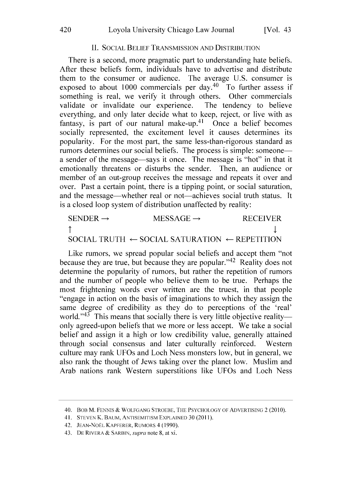#### **II. SOCIAL** BELIEF **TRANSMISSION AND** DISTRIBUTION

There is a second, more pragmatic part to understanding hate beliefs. After these beliefs form, individuals have to advertise and distribute them to the consumer or audience. The average **U.S.** consumer is exposed to about 1000 commercials per day.<sup>40</sup> To further assess if something is real, we verify it through others. Other commercials validate or invalidate our experience. The tendency to believe everything, and only later decide what to keep, reject, or live with as fantasy, is part of our natural make-up.<sup>41</sup> Once a belief becomes socially represented, the excitement level it causes determines its popularity. For the most part, the same less-than-rigorous standard as rumors determines our social beliefs. The process is simple: someonea sender of the message—says it once. The message is "hot" in that it emotionally threatens or disturbs the sender. Then, an audience or member of an out-group receives the message and repeats it over and over. Past a certain point, there is a tipping point, or social saturation, and the message—whether real or not—achieves social truth status. It is a closed loop system of distribution unaffected **by** reality:

| $SENDER \rightarrow$ | MESSAGE $\rightarrow$                                               | <b>RECEIVER</b> |
|----------------------|---------------------------------------------------------------------|-----------------|
| ᠰ                    |                                                                     |                 |
|                      | SOCIAL TRUTH $\leftarrow$ SOCIAL SATURATION $\leftarrow$ REPETITION |                 |

Like rumors, we spread popular social beliefs and accept them "not because they are true, but because they are popular."<sup>42</sup> Reality does not determine the popularity of rumors, but rather the repetition of rumors and the number of people who believe them to be true. Perhaps the most frightening words ever written are the truest, in that people 'engage in action on the basis of imaginations to which they assign the same degree of credibility as they do to perceptions of the 'real' world."<sup>43</sup> This means that socially there is very little objective realityonly agreed-upon beliefs that we more or less accept. We take a social belief and assign it a high or low credibility value, generally attained through social consensus and later culturally reinforced. Western culture may rank UFOs and Loch Ness monsters low, but in general, we also rank the thought of Jews taking over the planet low. Muslim and Arab nations rank Western superstitions like UFOs and Loch Ness

<sup>40.</sup> BOB M. FENNIS **& WOLFGANG** STROEBE, THE PSYCHOLOGY OF ADVERTISING 2 (2010).

<sup>41.</sup> **STEVEN** K. BAUM, **ANTISEMITISM EXPLAINED 30 (2011).**

<sup>42.</sup> **JEAN-NOEL** KAPFERER, RUMORS 4 **(1990).**

<sup>43.</sup> **DE** RIVERA **&** SARBIN, *supra* note **8,** at xi.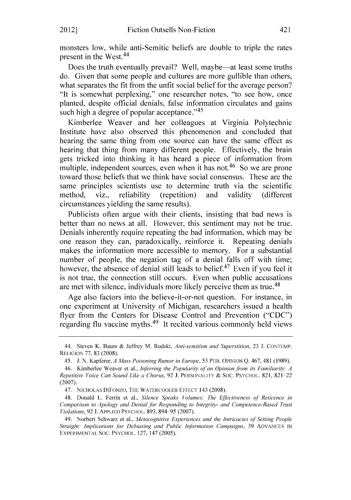monsters low, while anti-Semitic beliefs are double to triple the rates present in the West.<sup>44</sup>

Does the truth eventually prevail? Well, maybe—at least some truths do. Given that some people and cultures are more gullible than others, what separates the fit from the unfit social belief for the average person? "It is somewhat perplexing," one researcher notes, "to see how, once planted, despite official denials, false information circulates and gains such high a degree of popular acceptance." $45$ 

Kimberlee Weaver and her colleagues at Virginia Polytechnic Institute have also observed this phenomenon and concluded that hearing the same thing from one source can have the same effect as hearing that thing from many different people. Effectively, the brain gets tricked into thinking it has heard a piece of information from multiple, independent sources, even when it has not.<sup>46</sup> So we are prone toward those beliefs that we think have social consensus. These are the same principles scientists use to determine truth via the scientific method, viz., reliability (repetition) and validity (different circumstances yielding the same results).

Publicists often argue with their clients, insisting that bad news is better than no news at all. However, this sentiment may not be true. Denials inherently require repeating the bad information, which may be one reason they can, paradoxically, reinforce it. Repeating denials makes the information more accessible to memory. For a substantial number of people, the negation tag of a denial falls off with time; however, the absence of denial still leads to belief.<sup>47</sup> Even if you feel it is not true, the connection still occurs. Even when public accusations are met with silence, individuals more likely perceive them as true.<sup>48</sup>

Age also factors into the believe-it-or-not question. For instance, in one experiment at University of Michigan, researchers issued a health flyer from the Centers for Disease Control and Prevention **("CDC")** regarding flu vaccine myths. 49 It recited various commonly held views

<sup>44.</sup> Steven K. Baum **&** Jeffrey M. Rudski, *Anti-semitism and Superstition,* **23 J. CONTEMP. RELIGION 77, 83 (2008).**

*<sup>45.</sup>* **J. N.** Kapferer. *A Mass Poisoning Rumor in Europe, 53* PUB. OPINION **Q.** 467, 481 **(1989).**

<sup>46.</sup> Kimberlee Weaver et al., *Inferring the Popularity of an Opinion from its Familiarity: A Repetitive Voice* Can *Sound Like a Chorus,* **92 J.** PERSONALITY **& SOC.** PSYCHOL. **821, 821** 22 **(2007).**

*<sup>47.</sup>* NICHOLAS DIFONZo, THE WATERCOOLER **EFFECT** 143 **(2008).**

<sup>48.</sup> Donald L. Ferrin et al., *Silence Speaks Volumes: The Effectiveness of Reticence in* Comparison to Apology and *Denial for Responding to Integrity- and Competence-Based Trust* Violations, **92 J.** APPLIED PSYCHOL. **893,** 894 *95* **(2007).**

<sup>49.</sup> Norbert Schwarz et al., *Metacognitive* Experiences and the Intricacies of Setting People Straight: Implications for Debiasing and Public Information Campaigns, **39 ADVANCES IN** EXPERIMENTAL **SOC.** PSYCHOL. **127,** 147 *(2005).*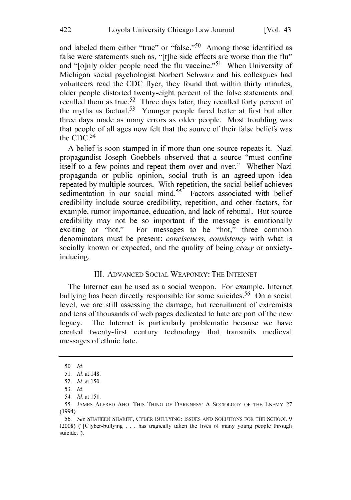and labeled them either "true" or "false." $50$  Among those identified as false were statements such as, "[t]he side effects are worse than the flu" and "[o]nly older people need the flu vaccine."<sup>51</sup> When University of Michigan social psychologist Norbert Schwarz and his colleagues had volunteers read the **CDC** flyer, they found that within thirty minutes, older people distorted twenty-eight percent of the false statements and recalled them as true.<sup>52</sup> Three days later, they recalled forty percent of the myths as factual.<sup>53</sup> Younger people fared better at first but after three days made as many errors as older people. Most troubling was that people of all ages now felt that the source of their false beliefs was the  $CDC<sup>54</sup>$ 

**A** belief is soon stamped in if more than one source repeats it. Nazi propagandist Joseph Goebbels observed that a source "must confine itself to a few points and repeat them over and over." Whether Nazi propaganda or public opinion, social truth is an agreed-upon idea repeated **by** multiple sources. With repetition, the social belief achieves sedimentation in our social mind.<sup>55</sup> Factors associated with belief credibility include source credibility, repetition, and other factors, for example, rumor importance, education, and lack of rebuttal. But source credibility may not be so important if the message is emotionally exciting or "hot." For messages to be "hot," three common denominators must be present: *conciseness, consistency* with what is socially known or expected, and the quality of being *crazy* or anxietyinducing.

#### III. **ADVANCED SOCIAL** WEAPONRY: THE **INTERNET**

The Internet can be used as a social weapon. For example, Internet bullying has been directly responsible for some suicides.<sup>56</sup> On a social level, we are still assessing the damage, but recruitment of extremists and tens of thousands of web pages dedicated to hate are part of the new legacy. The Internet is particularly problematic because we have created twenty-first century technology that transmits medieval messages of ethnic hate.

*<sup>50.</sup> Id.*

*<sup>51.</sup> Id.* at 148.

**<sup>52.</sup>** *Id. at* **150.**

*<sup>53.</sup> Id.*

<sup>54.</sup> *Id. at 151.*

*<sup>55.</sup>* JAMES ALFRED AHO, THIS **THING** OF DARKNESS: **A SOCIOLOGY** OF THE **ENEMY 27** (1994).

*<sup>56.</sup> See* **SHAHEEN** SHARIFF. CYBER **BULLYING: ISSUES AND SOLUTIONS** FOR THE **SCHOOL 9** (2008) ("[C]yber-bullying **.** . **.** has tragically taken the lives of many young people through suicide.").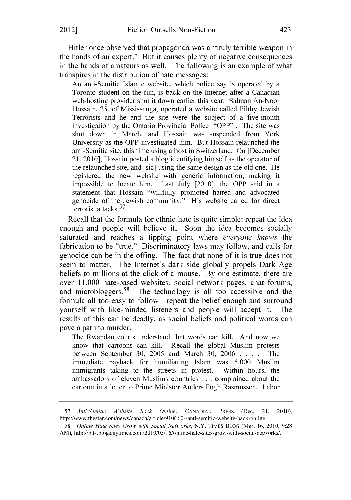Hitler once observed that propaganda was a "truly terrible weapon in the hands of an expert." But it causes plenty of negative consequences in the hands of amateurs as well. The following is an example of what transpires in the distribution of hate messages:

An anti-Semitic Islamic website, which police say is operated **by** a Toronto student on the run, is back on the Internet after a Canadian web-hosting provider shut it down earlier this year. Salman An-Noor Hossain, **25,** of Mississauga, operated a website called Filthy Jewish Terrorists and he and the site were the subject of a five-month investigation **by** the Ontario Provincial Police ["OPP"]. The site was shut down in March, and Hossain was suspended from York University as the OPP investigated him. But Hossain relaunched the anti-Semitic site, this time using a host in Switzerland. On [December 21, **2010],** Hossain posted a blog identifying himself as the operator of the relaunched site, and [sic] using the same design as the old one. He registered the new website with generic information, making it impossible to locate him. Last July [2010], the OPP said in a statement that Hossain "willfully promoted hatred and advocated genocide of the Jewish community." His website called for direct terrorist attacks. <sup>57</sup>

Recall that the formula for ethnic hate is quite simple: repeat the idea enough and people will believe it. Soon the idea becomes socially saturated and reaches a tipping point where *everyone knows the* fabrication to be "true." Discriminatory laws may follow, and calls for genocide can be in the offing. The fact that none of it is true does not seem to matter. The Internet's dark side globally propels Dark Age beliefs to millions at the click of a mouse. **By** one estimate, there are over **11,000** hate-based websites, social network pages, chat forums, and microbloggers.<sup>58</sup> The technology is all too accessible and the formula all too easy to follow—repeat the belief enough and surround yourself with like-minded listeners and people will accept it. The results of this can be deadly, as social beliefs and political words can pave a path to murder.

The Rwandan courts understand that words can kill. And now we know that cartoons can kill. Recall the global Muslim protests between September **30, 2005** and March **30, 2006 . . . .** The immediate payback for humiliating Islam was **5,000** Muslim immigrants taking to the streets in protest. Within hours, the ambassadors of eleven Muslims countries **.** . **.** complained about the cartoon in a letter to Prime Minister Anders Fogh Rasmussen. Labor

*58. Online Hate Sites Grow with Social Networks,* N.Y. TIMES BLOG (Mar. **16,** 2010, **9:28** AM), http://bits.blogs.nytimes.com/2010/03/16/online-hate-sites-grow-with-social-networks/.

*<sup>57.</sup> Anti-Semitic* Website *Back Online,* **CANADIAN** PRESS (Dec. 21, 2010). http://www.thestar.com/news/canada/article/910660--anti-semitic-website-back-online.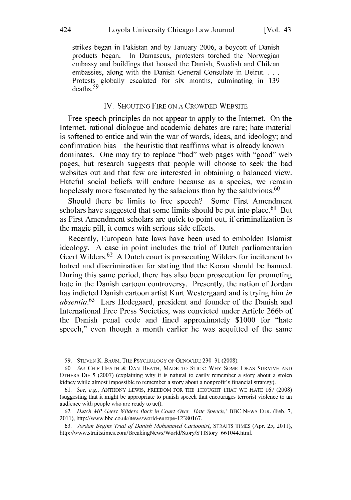strikes began in Pakistan and **by** January **2006,** a boycott of Danish products began. In Damascus, protesters torched the Norwegian embassy and buildings that housed the Danish, Swedish and Chilean embassies, along with the Danish General Consulate in Beirut. **. . .** Protests globally escalated for six months, culminating in **139** deaths.<sup>59</sup>

## IV. **SHOUTING** FIRE **ON A** CROWDED WEBSITE

Free speech principles do not appear to apply to the Internet. On the Internet, rational dialogue and academic debates are rare; hate material is softened to entice and win the war of words, ideas, and ideology; and confirmation bias—the heuristic that reaffirms what is already known dominates. One may try to replace "bad" web pages with "good" web pages, but research suggests that people will choose to seek the bad websites out and that few are interested in obtaining a balanced view. Hateful social beliefs will endure because as a species, we remain hopelessly more fascinated **by** the salacious than **by** the salubrious. <sup>60</sup>

Should there be limits to free speech? Some First Amendment scholars have suggested that some limits should be put into place.<sup>61</sup> But as First Amendment scholars are quick to point out, if criminalization is the magic pill, it comes with serious side effects.

Recently, European hate laws have been used to embolden Islamist ideology. **A** case in point includes the trial of Dutch parliamentarian Geert Wilders.<sup>62</sup> A Dutch court is prosecuting Wilders for incitement to hatred and discrimination for stating that the Koran should be banned. During this same period, there has also been prosecution for promoting hate in the Danish cartoon controversy. Presently, the nation of Jordan has indicted Danish cartoon artist Kurt Westergaard and is trying him *in absentia.63* Lars Hedegaard, president and founder of the Danish and International Free Press Societies, was convicted under Article **266b** of the Danish penal code and fined approximately **\$1000** for "hate speech," even though a month earlier he was acquitted of the same

*<sup>59.</sup>* **STEVEN** K. BAUM, THE PSYCHOLOGY OF **GENOCIDE 230-31** (2008).

*<sup>60.</sup>* **See** CHIP **HEATH & DAN HEATH, MVADE** TO STICK: WHY **SOME IDEAS** SURVIVE **AND** OTHERS **DIE** *5* **(2007)** (explaining why it is natural to easily remember a story about a stolen kidney while almost impossible to remember a story about a nonprofit's financial strategy).

*<sup>61.</sup> See, e.g.,* **ANTHONY** LEWIS, FREEDOM FOR THE **THOUGHT** THAT WE **HATE 167 (2008)** (suggesting that it might be appropriate to punish speech that encourages terrorist violence to an audience with people who are ready to act).

*<sup>62.</sup> Dutch MP Geert Wilders Back in Court Over Hate Speech.' BBC* NEWS EuR. (Feb. **7. 2011).** http://www.bbc.co.ul/news/world-europe-12380167.

*<sup>63.</sup> Jordan Begins Trial of Danish Mohammed Cartoonist,* STRAITS TIMES (Apr. *25,* **2011),** http://www.straitstimes.com/BreakingNews/World/Story/STIStory\_661044.html.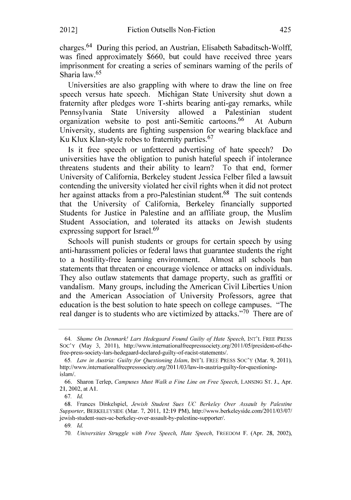charges. 64 During this period, an Austrian, Elisabeth Sabaditsch-Wolff, was fined approximately **\$660,** but could have received three years imprisonment for creating a series of seminars warning of the perils of Sharia law.<sup>65</sup>

Universities are also grappling with where to draw the line on free speech versus hate speech. Michigan State University shut down a fraternity after pledges wore T-shirts bearing anti-gay remarks, while Pennsylvania State University allowed a Palestinian student organization website to post anti-Semitic cartoons.<sup>66</sup> At Auburn University, students are fighting suspension for wearing blackface and Ku Klux Klan-style robes to fraternity parties.<sup>67</sup>

Is it free speech or unfettered advertising of hate speech? Do universities have the obligation to punish hateful speech if intolerance threatens students and their ability to learn? To that end, former University of California, Berkeley student Jessica Felber filed a lawsuit contending the university violated her civil rights when it did not protect her against attacks from a pro-Palestinian student.<sup>68</sup> The suit contends that the University of California, Berkeley financially supported Students for Justice in Palestine and an affiliate group, the Muslim Student Association, and tolerated its attacks on Jewish students expressing support for Israel.<sup>69</sup>

Schools will punish students or groups for certain speech **by** using anti-harassment policies or federal laws that guarantee students the right to a hostility-free learning environment. Almost all schools ban statements that threaten or encourage violence or attacks on individuals. They also outlaw statements that damage property, such as graffiti or vandalism. Many groups, including the American Civil Liberties Union and the American Association of University Professors, agree that education is the best solution to hate speech on college campuses. "The real danger is to students who are victimized **by** attacks." 70 There are of

**6 9.** *Id.*

<sup>64.</sup> Shame *On Denmark! Lars Hedegaard Found Guilty of Hate* Speech. **INT'L** FREE PRESS SoC'y (May **3, 2011),** http://www.internationalfreepresssociety.org/2011/05/president-of-thefree-press-society-lars-hedegaard-declared-guilty-of-racist-statements/.

*<sup>65.</sup> Law in Austria: Guilty for Questioning Islam.* **INT'L** FREE PRESS **Soc'Y** (Mar. **9. 2011).** http://www.internationalfreepresssociety.org/2011/03/law-in-austria-guilty-for-questioningislam/.

**<sup>66.</sup>** Sharon Terlep. *Campuses Must Walk a Fine Line on Free Speech.* **LANSING ST. J..** Apr. 21. 2002, at **Al.**

*<sup>67.</sup> Id.*

**<sup>68.</sup>** Frances Dinkelspiel, *Jewish Student Sues UC Berkeley Over Assault by Palestine Supporter.* BERKELEYSIDE (Mar. **7.** 2011. **12:19** PM). http://www.berkeleyside.com/2011/03/07/ jewish-student-sues-uc-berkeley-over-assault-by-palestine-supporter/.

*<sup>70.</sup> Universities Struggle with Free Speech, Hate Speech,* FREEDOM F. (Apr. **28,** 2002),